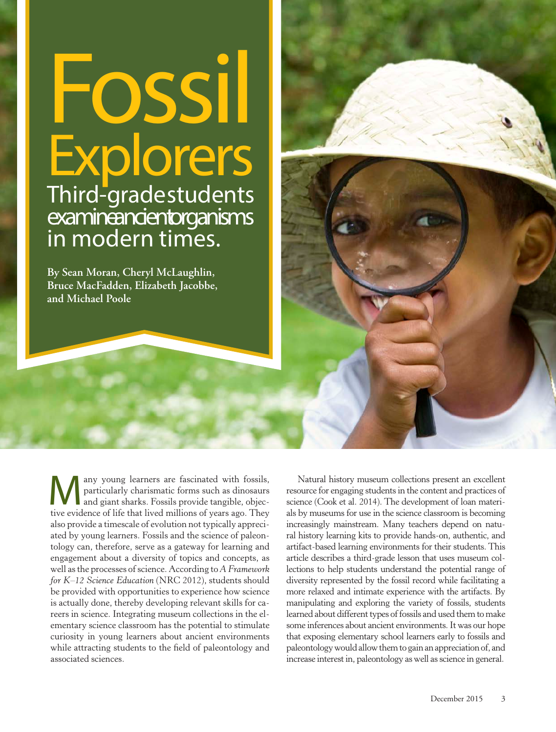# **Fossil Explorers** Third-grade students examine ancientorganisms in modern times.

**By Sean Moran, Cheryl McLaughlin, Bruce MacFadden, Elizabeth Jacobbe, and Michael Poole**

Many young learners are fascinated with fossils, particularly charismatic forms such as dinosaurs<br>and giant sharks. Fossils provide tangible, objec-<br>tive evidence of life that lived millions of years ago. They particularly charismatic forms such as dinosaurs tive evidence of life that lived millions of years ago. They also provide a timescale of evolution not typically appreciated by young learners. Fossils and the science of paleontology can, therefore, serve as a gateway for learning and engagement about a diversity of topics and concepts, as well as the processes of science. According to *A Framework for K–12 Science Education* (NRC 2012), students should be provided with opportunities to experience how science is actually done, thereby developing relevant skills for careers in science. Integrating museum collections in the elementary science classroom has the potential to stimulate curiosity in young learners about ancient environments while attracting students to the field of paleontology and associated sciences.

Natural history museum collections present an excellent resource for engaging students in the content and practices of science (Cook et al. 2014). The development of loan materials by museums for use in the science classroom is becoming increasingly mainstream. Many teachers depend on natural history learning kits to provide hands-on, authentic, and artifact-based learning environments for their students. This article describes a third-grade lesson that uses museum collections to help students understand the potential range of diversity represented by the fossil record while facilitating a more relaxed and intimate experience with the artifacts. By manipulating and exploring the variety of fossils, students learned about different types of fossils and used them to make some inferences about ancient environments. It was our hope that exposing elementary school learners early to fossils and paleontology would allow them to gain an appreciation of, and increase interest in, paleontology as well as science in general.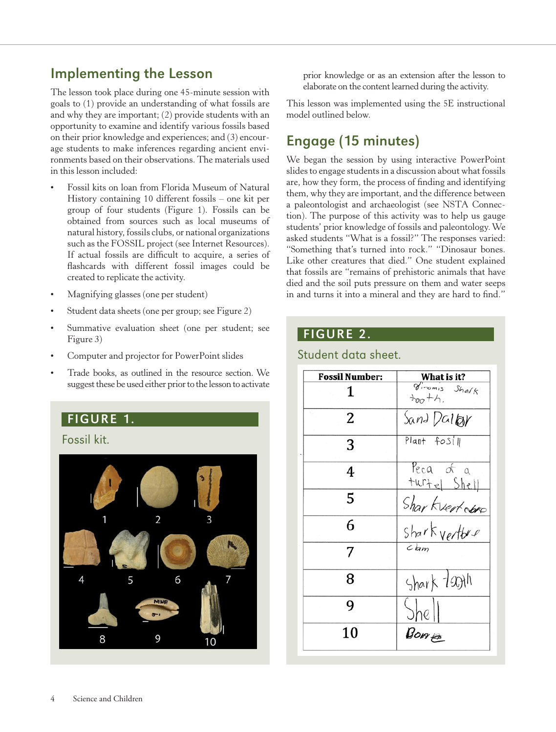# Implementing the Lesson

The lesson took place during one 45-minute session with goals to (1) provide an understanding of what fossils are and why they are important; (2) provide students with an opportunity to examine and identify various fossils based on their prior knowledge and experiences; and (3) encourage students to make inferences regarding ancient environments based on their observations. The materials used in this lesson included:

- Fossil kits on loan from Florida Museum of Natural History containing 10 different fossils – one kit per group of four students (Figure 1). Fossils can be obtained from sources such as local museums of natural history, fossils clubs, or national organizations such as the FOSSIL project (see Internet Resources). If actual fossils are difficult to acquire, a series of flashcards with different fossil images could be created to replicate the activity.
- Magnifying glasses (one per student)
- Student data sheets (one per group; see Figure 2)
- Summative evaluation sheet (one per student; see Figure 3)
- Computer and projector for PowerPoint slides
- Trade books, as outlined in the resource section. We suggest these be used either prior to the lesson to activate

## FIGURE 1.

Fossil kit.



prior knowledge or as an extension after the lesson to elaborate on the content learned during the activity.

This lesson was implemented using the 5E instructional model outlined below.

# Engage (15 minutes)

We began the session by using interactive PowerPoint slides to engage students in a discussion about what fossils are, how they form, the process of finding and identifying them, why they are important, and the difference between a paleontologist and archaeologist (see NSTA Connection). The purpose of this activity was to help us gauge students' prior knowledge of fossils and paleontology. We asked students "What is a fossil?" The responses varied: "Something that's turned into rock." "Dinosaur bones. Like other creatures that died." One student explained that fossils are "remains of prehistoric animals that have died and the soil puts pressure on them and water seeps in and turns it into a mineral and they are hard to find."

## FIGURE 2.

Student data sheet.

#### **Fossil Number:** What is it?  $\overline{g_{1\text{nomis}}}\$  Shalk 1  $+6.7$  $\overline{2}$ Sand Dallar Plant fosill 3 Peca of a 4 turte Shell Sharkvertoken 5 6  $Chm$ 7 Shark Tooth 8 9 Bomes 10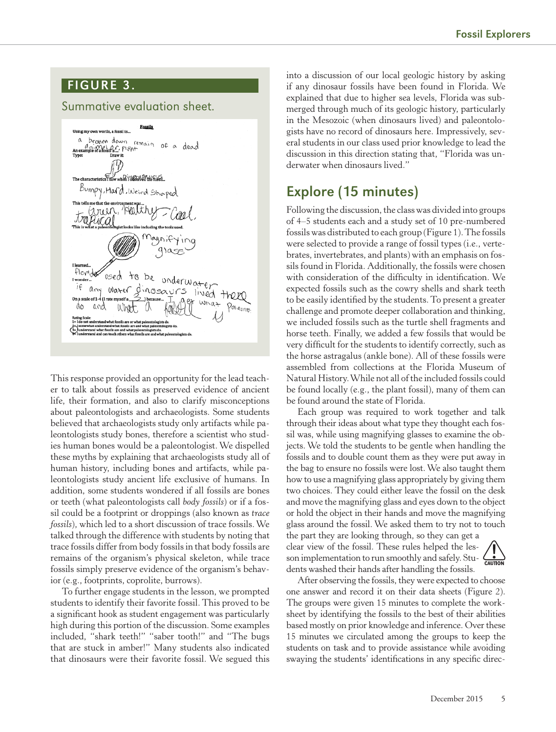## FIGURE 3.

### Summative evaluation sheet.



This response provided an opportunity for the lead teacher to talk about fossils as preserved evidence of ancient life, their formation, and also to clarify misconceptions about paleontologists and archaeologists. Some students believed that archaeologists study only artifacts while paleontologists study bones, therefore a scientist who studies human bones would be a paleontologist. We dispelled these myths by explaining that archaeologists study all of human history, including bones and artifacts, while paleontologists study ancient life exclusive of humans. In addition, some students wondered if all fossils are bones or teeth (what paleontologists call *body fossils*) or if a fossil could be a footprint or droppings (also known as *trace fossils*), which led to a short discussion of trace fossils. We talked through the difference with students by noting that trace fossils differ from body fossils in that body fossils are remains of the organism's physical skeleton, while trace fossils simply preserve evidence of the organism's behavior (e.g., footprints, coprolite, burrows).

To further engage students in the lesson, we prompted students to identify their favorite fossil. This proved to be a significant hook as student engagement was particularly high during this portion of the discussion. Some examples included, "shark teeth!" "saber tooth!" and "The bugs that are stuck in amber!" Many students also indicated that dinosaurs were their favorite fossil. We segued this

into a discussion of our local geologic history by asking if any dinosaur fossils have been found in Florida. We explained that due to higher sea levels, Florida was submerged through much of its geologic history, particularly in the Mesozoic (when dinosaurs lived) and paleontologists have no record of dinosaurs here. Impressively, several students in our class used prior knowledge to lead the discussion in this direction stating that, "Florida was underwater when dinosaurs lived."

# Explore (15 minutes)

Following the discussion, the class was divided into groups of 4–5 students each and a study set of 10 pre-numbered fossils was distributed to each group (Figure 1). The fossils were selected to provide a range of fossil types (i.e., vertebrates, invertebrates, and plants) with an emphasis on fossils found in Florida. Additionally, the fossils were chosen with consideration of the difficulty in identification. We expected fossils such as the cowry shells and shark teeth to be easily identified by the students. To present a greater challenge and promote deeper collaboration and thinking, we included fossils such as the turtle shell fragments and horse teeth. Finally, we added a few fossils that would be very difficult for the students to identify correctly, such as the horse astragalus (ankle bone). All of these fossils were assembled from collections at the Florida Museum of Natural History. While not all of the included fossils could be found locally (e.g., the plant fossil), many of them can be found around the state of Florida.

Each group was required to work together and talk through their ideas about what type they thought each fossil was, while using magnifying glasses to examine the objects. We told the students to be gentle when handling the fossils and to double count them as they were put away in the bag to ensure no fossils were lost. We also taught them how to use a magnifying glass appropriately by giving them two choices. They could either leave the fossil on the desk and move the magnifying glass and eyes down to the object or hold the object in their hands and move the magnifying glass around the fossil. We asked them to try not to touch

the part they are looking through, so they can get a clear view of the fossil. These rules helped the lesson implementation to run smoothly and safely. Students washed their hands after handling the fossils.



After observing the fossils, they were expected to choose one answer and record it on their data sheets (Figure 2). The groups were given 15 minutes to complete the worksheet by identifying the fossils to the best of their abilities based mostly on prior knowledge and inference. Over these 15 minutes we circulated among the groups to keep the students on task and to provide assistance while avoiding swaying the students' identifications in any specific direc-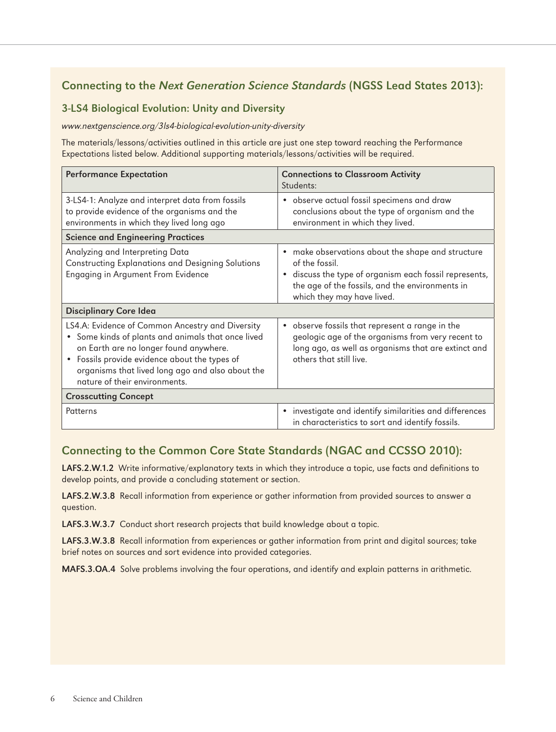## Connecting to the Next Generation Science Standards (NGSS Lead States 2013):

#### 3-LS4 Biological Evolution: Unity and Diversity

www.nextgenscience.org/3ls4-biological-evolution-unity-diversity

The materials/lessons/activities outlined in this article are just one step toward reaching the Performance Expectations listed below. Additional supporting materials/lessons/activities will be required.

| <b>Performance Expectation</b>                                                                                                                                                                                                                                                                               | <b>Connections to Classroom Activity</b><br>Students:                                                                                                                                                                     |
|--------------------------------------------------------------------------------------------------------------------------------------------------------------------------------------------------------------------------------------------------------------------------------------------------------------|---------------------------------------------------------------------------------------------------------------------------------------------------------------------------------------------------------------------------|
| 3-LS4-1: Analyze and interpret data from fossils<br>to provide evidence of the organisms and the<br>environments in which they lived long ago                                                                                                                                                                | • observe actual fossil specimens and draw<br>conclusions about the type of organism and the<br>environment in which they lived.                                                                                          |
| <b>Science and Engineering Practices</b>                                                                                                                                                                                                                                                                     |                                                                                                                                                                                                                           |
| Analyzing and Interpreting Data<br><b>Constructing Explanations and Designing Solutions</b><br>Engaging in Argument From Evidence                                                                                                                                                                            | • make observations about the shape and structure<br>of the fossil.<br>discuss the type of organism each fossil represents,<br>$\bullet$<br>the age of the fossils, and the environments in<br>which they may have lived. |
| <b>Disciplinary Core Idea</b>                                                                                                                                                                                                                                                                                |                                                                                                                                                                                                                           |
| LS4.A: Evidence of Common Ancestry and Diversity<br>Some kinds of plants and animals that once lived<br>$\bullet$<br>on Earth are no longer found anywhere.<br>Fossils provide evidence about the types of<br>$\bullet$<br>organisms that lived long ago and also about the<br>nature of their environments. | • observe fossils that represent a range in the<br>geologic age of the organisms from very recent to<br>long ago, as well as organisms that are extinct and<br>others that still live.                                    |
| <b>Crosscutting Concept</b>                                                                                                                                                                                                                                                                                  |                                                                                                                                                                                                                           |
| Patterns                                                                                                                                                                                                                                                                                                     | investigate and identify similarities and differences<br>$\bullet$<br>in characteristics to sort and identify fossils.                                                                                                    |

#### Connecting to the Common Core State Standards (NGAC and CCSSO 2010):

LAFS.2.W.1.2 Write informative/explanatory texts in which they introduce a topic, use facts and definitions to develop points, and provide a concluding statement or section.

LAFS.2.W.3.8 Recall information from experience or gather information from provided sources to answer a question.

LAFS.3.W.3.7 Conduct short research projects that build knowledge about a topic.

LAFS.3.W.3.8 Recall information from experiences or gather information from print and digital sources; take brief notes on sources and sort evidence into provided categories.

MAFS.3.OA.4 Solve problems involving the four operations, and identify and explain patterns in arithmetic.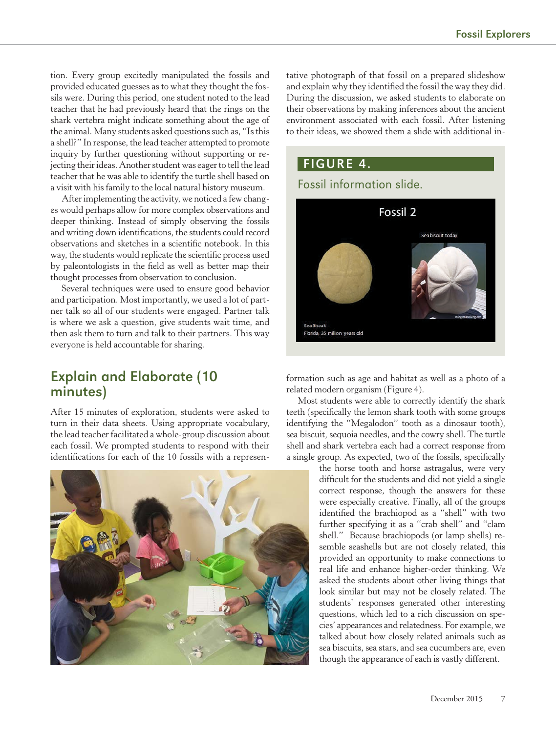tion. Every group excitedly manipulated the fossils and provided educated guesses as to what they thought the fossils were. During this period, one student noted to the lead teacher that he had previously heard that the rings on the shark vertebra might indicate something about the age of the animal. Many students asked questions such as, "Is this a shell?" In response, the lead teacher attempted to promote inquiry by further questioning without supporting or rejecting their ideas. Another student was eager to tell the lead teacher that he was able to identify the turtle shell based on a visit with his family to the local natural history museum.

After implementing the activity, we noticed a few changes would perhaps allow for more complex observations and deeper thinking. Instead of simply observing the fossils and writing down identifications, the students could record observations and sketches in a scientific notebook. In this way, the students would replicate the scientific process used by paleontologists in the field as well as better map their thought processes from observation to conclusion.

Several techniques were used to ensure good behavior and participation. Most importantly, we used a lot of partner talk so all of our students were engaged. Partner talk is where we ask a question, give students wait time, and then ask them to turn and talk to their partners. This way everyone is held accountable for sharing.

## Explain and Elaborate (10 minutes)

After 15 minutes of exploration, students were asked to turn in their data sheets. Using appropriate vocabulary, the lead teacher facilitated a whole-group discussion about each fossil. We prompted students to respond with their identifications for each of the 10 fossils with a represen-



tative photograph of that fossil on a prepared slideshow and explain why they identified the fossil the way they did. During the discussion, we asked students to elaborate on their observations by making inferences about the ancient environment associated with each fossil. After listening to their ideas, we showed them a slide with additional in-



formation such as age and habitat as well as a photo of a related modern organism (Figure 4).

Most students were able to correctly identify the shark teeth (specifically the lemon shark tooth with some groups identifying the "Megalodon" tooth as a dinosaur tooth), sea biscuit, sequoia needles, and the cowry shell. The turtle shell and shark vertebra each had a correct response from a single group. As expected, two of the fossils, specifically

> the horse tooth and horse astragalus, were very difficult for the students and did not yield a single correct response, though the answers for these were especially creative. Finally, all of the groups identified the brachiopod as a "shell" with two further specifying it as a "crab shell" and "clam shell." Because brachiopods (or lamp shells) resemble seashells but are not closely related, this provided an opportunity to make connections to real life and enhance higher-order thinking. We asked the students about other living things that look similar but may not be closely related. The students' responses generated other interesting questions, which led to a rich discussion on species' appearances and relatedness. For example, we talked about how closely related animals such as sea biscuits, sea stars, and sea cucumbers are, even though the appearance of each is vastly different.